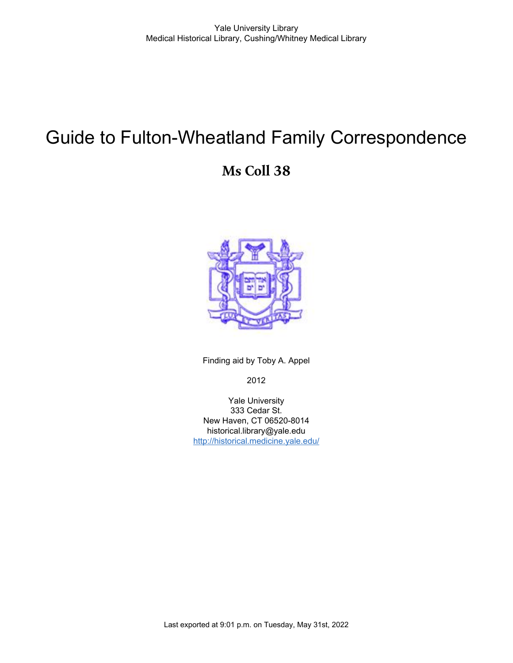# Guide to Fulton-Wheatland Family Correspondence

# **Ms Coll 38**



Finding aid by Toby A. Appel

2012

Yale University 333 Cedar St. New Haven, CT 06520-8014 historical.library@yale.edu <http://historical.medicine.yale.edu/>

Last exported at 9:01 p.m. on Tuesday, May 31st, 2022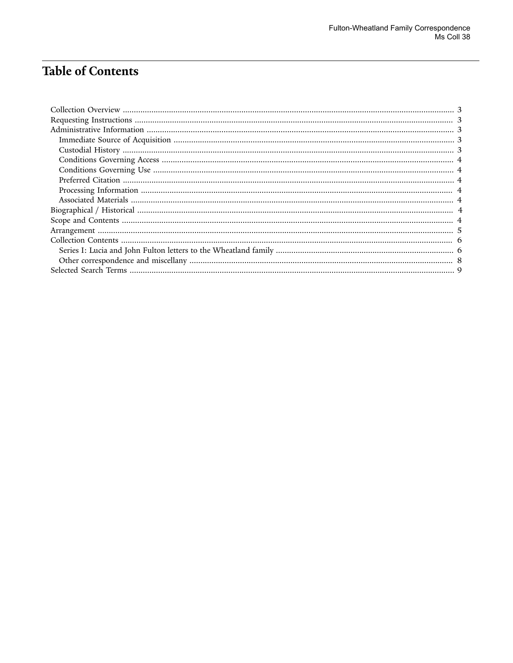# **Table of Contents**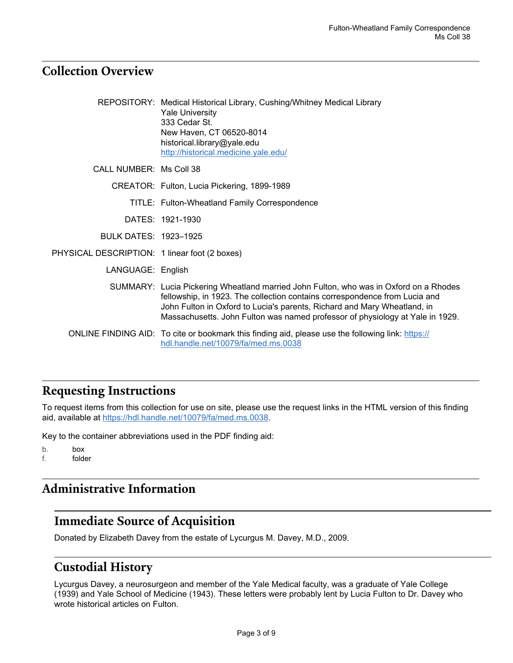### <span id="page-2-0"></span>**Collection Overview**

|                                               | REPOSITORY: Medical Historical Library, Cushing/Whitney Medical Library<br><b>Yale University</b><br>333 Cedar St.<br>New Haven, CT 06520-8014<br>historical.library@yale.edu<br>http://historical.medicine.yale.edu/                                                                                                            |
|-----------------------------------------------|----------------------------------------------------------------------------------------------------------------------------------------------------------------------------------------------------------------------------------------------------------------------------------------------------------------------------------|
| CALL NUMBER: Ms Coll 38                       |                                                                                                                                                                                                                                                                                                                                  |
|                                               | CREATOR: Fulton, Lucia Pickering, 1899-1989                                                                                                                                                                                                                                                                                      |
|                                               | TITLE: Fulton-Wheatland Family Correspondence                                                                                                                                                                                                                                                                                    |
|                                               | DATES: 1921-1930                                                                                                                                                                                                                                                                                                                 |
| <b>BULK DATES: 1923-1925</b>                  |                                                                                                                                                                                                                                                                                                                                  |
| PHYSICAL DESCRIPTION: 1 linear foot (2 boxes) |                                                                                                                                                                                                                                                                                                                                  |
| LANGUAGE: English                             |                                                                                                                                                                                                                                                                                                                                  |
|                                               | SUMMARY: Lucia Pickering Wheatland married John Fulton, who was in Oxford on a Rhodes<br>fellowship, in 1923. The collection contains correspondence from Lucia and<br>John Fulton in Oxford to Lucia's parents, Richard and Mary Wheatland, in<br>Massachusetts. John Fulton was named professor of physiology at Yale in 1929. |
|                                               | ONLINE FINDING AID: To cite or bookmark this finding aid, please use the following link: https://<br>hdl.handle.net/10079/fa/med.ms.0038                                                                                                                                                                                         |

### <span id="page-2-1"></span>**Requesting Instructions**

To request items from this collection for use on site, please use the request links in the HTML version of this finding aid, available at <https://hdl.handle.net/10079/fa/med.ms.0038>.

Key to the container abbreviations used in the PDF finding aid:

b. box f. folder

### <span id="page-2-2"></span>**Administrative Information**

#### <span id="page-2-3"></span>**Immediate Source of Acquisition**

Donated by Elizabeth Davey from the estate of Lycurgus M. Davey, M.D., 2009.

### <span id="page-2-4"></span>**Custodial History**

Lycurgus Davey, a neurosurgeon and member of the Yale Medical faculty, was a graduate of Yale College (1939) and Yale School of Medicine (1943). These letters were probably lent by Lucia Fulton to Dr. Davey who wrote historical articles on Fulton.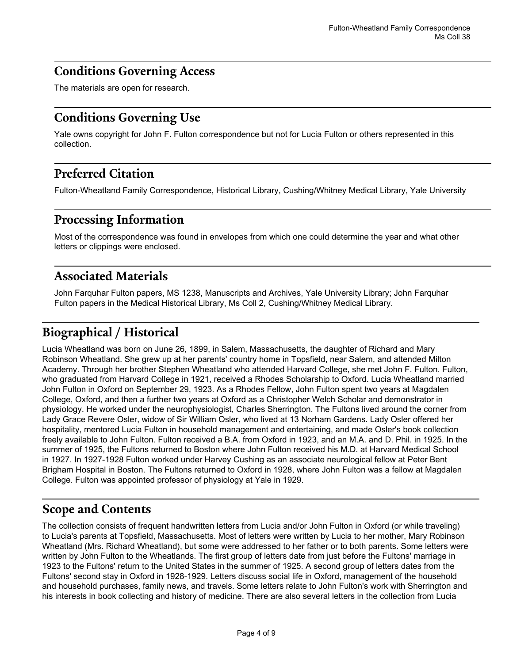### <span id="page-3-0"></span>**Conditions Governing Access**

The materials are open for research.

### <span id="page-3-1"></span>**Conditions Governing Use**

Yale owns copyright for John F. Fulton correspondence but not for Lucia Fulton or others represented in this collection.

### <span id="page-3-2"></span>**Preferred Citation**

Fulton-Wheatland Family Correspondence, Historical Library, Cushing/Whitney Medical Library, Yale University

### <span id="page-3-3"></span>**Processing Information**

Most of the correspondence was found in envelopes from which one could determine the year and what other letters or clippings were enclosed.

### <span id="page-3-4"></span>**Associated Materials**

John Farquhar Fulton papers, MS 1238, Manuscripts and Archives, Yale University Library; John Farquhar Fulton papers in the Medical Historical Library, Ms Coll 2, Cushing/Whitney Medical Library.

# <span id="page-3-5"></span>**Biographical / Historical**

Lucia Wheatland was born on June 26, 1899, in Salem, Massachusetts, the daughter of Richard and Mary Robinson Wheatland. She grew up at her parents' country home in Topsfield, near Salem, and attended Milton Academy. Through her brother Stephen Wheatland who attended Harvard College, she met John F. Fulton. Fulton, who graduated from Harvard College in 1921, received a Rhodes Scholarship to Oxford. Lucia Wheatland married John Fulton in Oxford on September 29, 1923. As a Rhodes Fellow, John Fulton spent two years at Magdalen College, Oxford, and then a further two years at Oxford as a Christopher Welch Scholar and demonstrator in physiology. He worked under the neurophysiologist, Charles Sherrington. The Fultons lived around the corner from Lady Grace Revere Osler, widow of Sir William Osler, who lived at 13 Norham Gardens. Lady Osler offered her hospitality, mentored Lucia Fulton in household management and entertaining, and made Osler's book collection freely available to John Fulton. Fulton received a B.A. from Oxford in 1923, and an M.A. and D. Phil. in 1925. In the summer of 1925, the Fultons returned to Boston where John Fulton received his M.D. at Harvard Medical School in 1927. In 1927-1928 Fulton worked under Harvey Cushing as an associate neurological fellow at Peter Bent Brigham Hospital in Boston. The Fultons returned to Oxford in 1928, where John Fulton was a fellow at Magdalen College. Fulton was appointed professor of physiology at Yale in 1929.

### <span id="page-3-6"></span>**Scope and Contents**

The collection consists of frequent handwritten letters from Lucia and/or John Fulton in Oxford (or while traveling) to Lucia's parents at Topsfield, Massachusetts. Most of letters were written by Lucia to her mother, Mary Robinson Wheatland (Mrs. Richard Wheatland), but some were addressed to her father or to both parents. Some letters were written by John Fulton to the Wheatlands. The first group of letters date from just before the Fultons' marriage in 1923 to the Fultons' return to the United States in the summer of 1925. A second group of letters dates from the Fultons' second stay in Oxford in 1928-1929. Letters discuss social life in Oxford, management of the household and household purchases, family news, and travels. Some letters relate to John Fulton's work with Sherrington and his interests in book collecting and history of medicine. There are also several letters in the collection from Lucia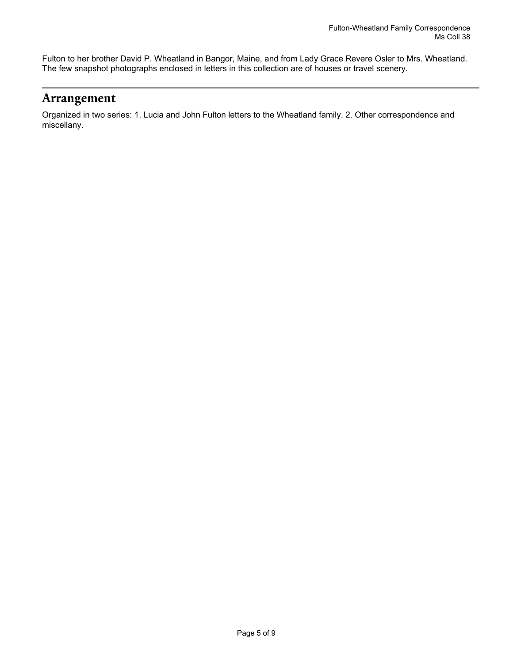Fulton to her brother David P. Wheatland in Bangor, Maine, and from Lady Grace Revere Osler to Mrs. Wheatland. The few snapshot photographs enclosed in letters in this collection are of houses or travel scenery.

#### <span id="page-4-0"></span>**Arrangement**

Organized in two series: 1. Lucia and John Fulton letters to the Wheatland family. 2. Other correspondence and miscellany.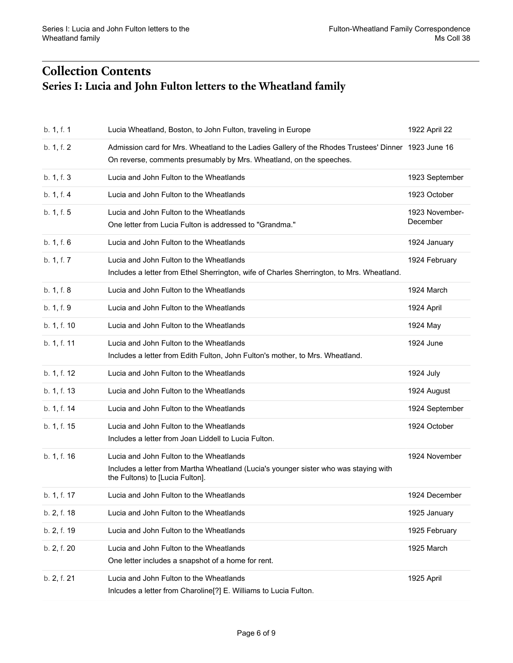# <span id="page-5-1"></span><span id="page-5-0"></span>**Collection Contents Series I: Lucia and John Fulton letters to the Wheatland family**

| b. 1, f. 1  | Lucia Wheatland, Boston, to John Fulton, traveling in Europe                                                                                                               | 1922 April 22              |
|-------------|----------------------------------------------------------------------------------------------------------------------------------------------------------------------------|----------------------------|
| b. 1, f. 2  | Admission card for Mrs. Wheatland to the Ladies Gallery of the Rhodes Trustees' Dinner 1923 June 16<br>On reverse, comments presumably by Mrs. Wheatland, on the speeches. |                            |
| b. 1, f. 3  | Lucia and John Fulton to the Wheatlands                                                                                                                                    | 1923 September             |
| b. 1, f. 4  | Lucia and John Fulton to the Wheatlands                                                                                                                                    | 1923 October               |
| b. 1, f. 5  | Lucia and John Fulton to the Wheatlands<br>One letter from Lucia Fulton is addressed to "Grandma."                                                                         | 1923 November-<br>December |
| b. 1, f. 6  | Lucia and John Fulton to the Wheatlands                                                                                                                                    | 1924 January               |
| b. 1, f. 7  | Lucia and John Fulton to the Wheatlands<br>Includes a letter from Ethel Sherrington, wife of Charles Sherrington, to Mrs. Wheatland.                                       | 1924 February              |
| b. 1, f. 8  | Lucia and John Fulton to the Wheatlands                                                                                                                                    | 1924 March                 |
| b. 1, f. 9  | Lucia and John Fulton to the Wheatlands                                                                                                                                    | 1924 April                 |
| b. 1, f. 10 | Lucia and John Fulton to the Wheatlands                                                                                                                                    | 1924 May                   |
| b. 1, f. 11 | Lucia and John Fulton to the Wheatlands<br>Includes a letter from Edith Fulton, John Fulton's mother, to Mrs. Wheatland.                                                   | 1924 June                  |
| b. 1, f. 12 | Lucia and John Fulton to the Wheatlands                                                                                                                                    | 1924 July                  |
| b. 1, f. 13 | Lucia and John Fulton to the Wheatlands                                                                                                                                    | 1924 August                |
| b. 1, f. 14 | Lucia and John Fulton to the Wheatlands                                                                                                                                    | 1924 September             |
| b. 1, f. 15 | Lucia and John Fulton to the Wheatlands<br>Includes a letter from Joan Liddell to Lucia Fulton.                                                                            | 1924 October               |
| b. 1, f. 16 | Lucia and John Fulton to the Wheatlands<br>Includes a letter from Martha Wheatland (Lucia's younger sister who was staying with<br>the Fultons) to [Lucia Fulton].         | 1924 November              |
| b. 1, f. 17 | Lucia and John Fulton to the Wheatlands                                                                                                                                    | 1924 December              |
| b. 2, f. 18 | Lucia and John Fulton to the Wheatlands                                                                                                                                    | 1925 January               |
| b. 2, f. 19 | Lucia and John Fulton to the Wheatlands                                                                                                                                    | 1925 February              |
| b. 2, f. 20 | Lucia and John Fulton to the Wheatlands<br>One letter includes a snapshot of a home for rent.                                                                              | 1925 March                 |
| b. 2, f. 21 | Lucia and John Fulton to the Wheatlands<br>Inlcudes a letter from Charoline[?] E. Williams to Lucia Fulton.                                                                | 1925 April                 |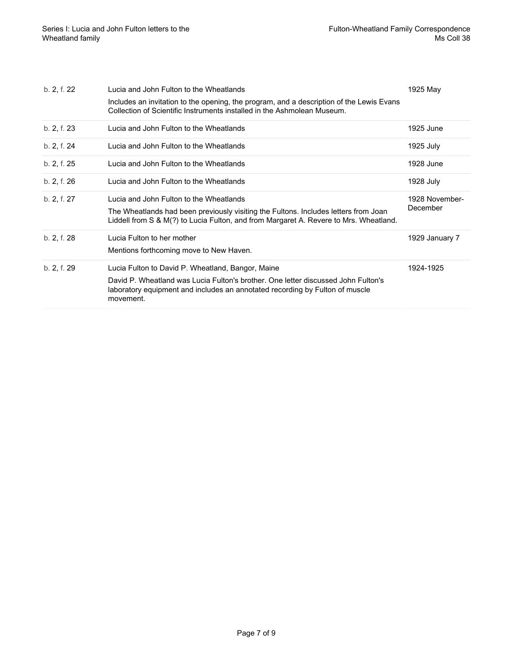| b. 2, f. 22 | Lucia and John Fulton to the Wheatlands<br>Includes an invitation to the opening, the program, and a description of the Lewis Evans<br>Collection of Scientific Instruments installed in the Ashmolean Museum.          | 1925 May                   |
|-------------|-------------------------------------------------------------------------------------------------------------------------------------------------------------------------------------------------------------------------|----------------------------|
| b. 2, f. 23 | Lucia and John Fulton to the Wheatlands                                                                                                                                                                                 | 1925 June                  |
| b. 2, f. 24 | Lucia and John Fulton to the Wheatlands                                                                                                                                                                                 | 1925 July                  |
| b. 2, f. 25 | Lucia and John Fulton to the Wheatlands                                                                                                                                                                                 | 1928 June                  |
| b. 2, f. 26 | Lucia and John Fulton to the Wheatlands                                                                                                                                                                                 | 1928 July                  |
|             |                                                                                                                                                                                                                         |                            |
| b. 2, f. 27 | Lucia and John Fulton to the Wheatlands<br>The Wheatlands had been previously visiting the Fultons. Includes letters from Joan<br>Liddell from S & M(?) to Lucia Fulton, and from Margaret A. Revere to Mrs. Wheatland. | 1928 November-<br>December |
| b. 2, f. 28 | Lucia Fulton to her mother<br>Mentions forthcoming move to New Haven.                                                                                                                                                   | 1929 January 7             |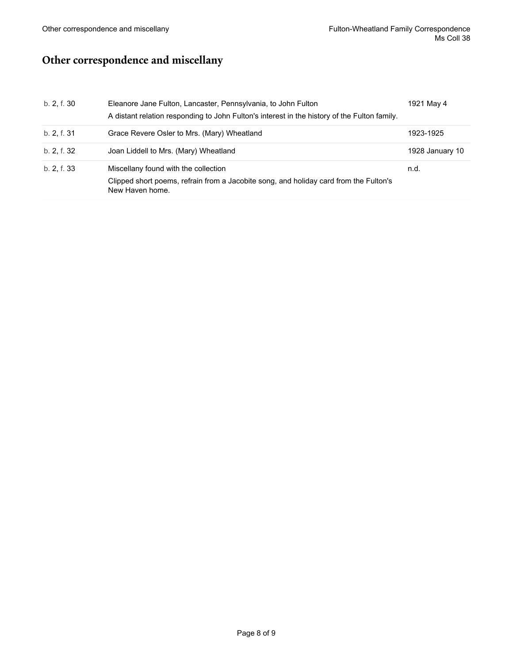## <span id="page-7-0"></span>**Other correspondence and miscellany**

| b. 2, f. 30 | Eleanore Jane Fulton, Lancaster, Pennsylvania, to John Fulton<br>A distant relation responding to John Fulton's interest in the history of the Fulton family. | 1921 May 4      |
|-------------|---------------------------------------------------------------------------------------------------------------------------------------------------------------|-----------------|
| b. 2, f. 31 | Grace Revere Osler to Mrs. (Mary) Wheatland                                                                                                                   | 1923-1925       |
| b. 2, f. 32 | Joan Liddell to Mrs. (Mary) Wheatland                                                                                                                         | 1928 January 10 |
| b. 2, f. 33 | Miscellany found with the collection<br>Clipped short poems, refrain from a Jacobite song, and holiday card from the Fulton's<br>New Haven home.              | n.d.            |